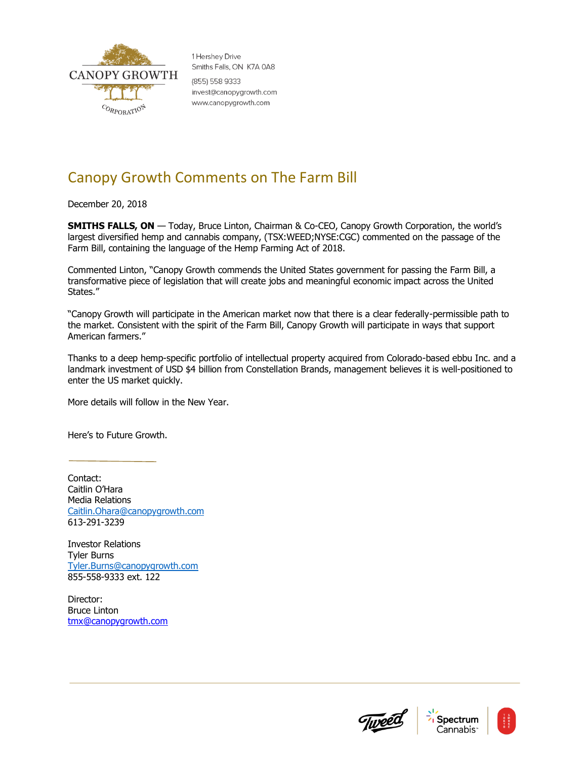

1 Hershev Drive Smiths Falls, ON K7A 0A8 (855) 558 9333 invest@canopygrowth.com www.canopygrowth.com

## Canopy Growth Comments on The Farm Bill

December 20, 2018

**SMITHS FALLS, ON** — Today, Bruce Linton, Chairman & Co-CEO, Canopy Growth Corporation, the world's largest diversified hemp and cannabis company, (TSX:WEED;NYSE:CGC) commented on the passage of the Farm Bill, containing the language of the Hemp Farming Act of 2018.

Commented Linton, "Canopy Growth commends the United States government for passing the Farm Bill, a transformative piece of legislation that will create jobs and meaningful economic impact across the United States."

"Canopy Growth will participate in the American market now that there is a clear federally-permissible path to the market. Consistent with the spirit of the Farm Bill, Canopy Growth will participate in ways that support American farmers."

Thanks to a deep hemp-specific portfolio of intellectual property acquired from Colorado-based ebbu Inc. and a landmark investment of USD \$4 billion from Constellation Brands, management believes it is well-positioned to enter the US market quickly.

More details will follow in the New Year.

Here's to Future Growth.

Contact: Caitlin O'Hara Media Relations [Caitlin.Ohara@canopygrowth.com](mailto:Caitlin.Ohara@canopygrowth.com) 613-291-3239

Investor Relations Tyler Burns [Tyler.Burns@canopygrowth.com](mailto:Tyler.Burns@canopygrowth.com) 855-558-9333 ext. 122

Director: Bruce Linton [tmx@canopygrowth.com](mailto:tmx@canopygrowth.com)